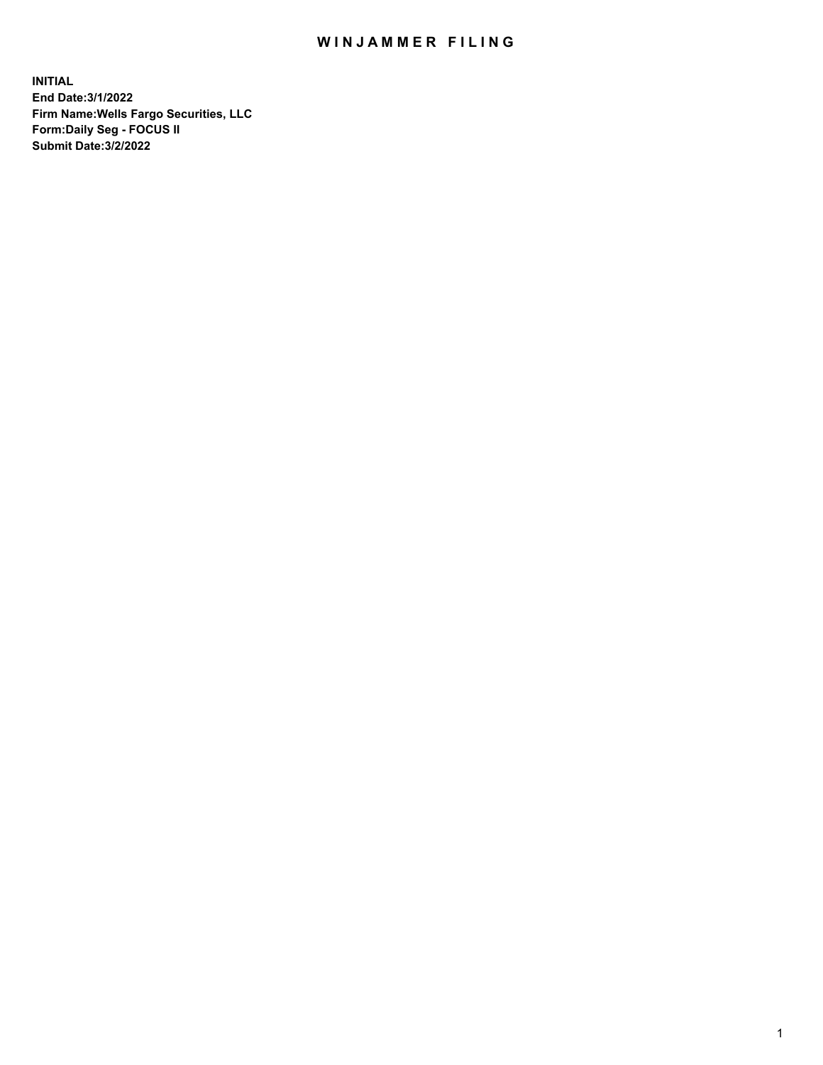## WIN JAMMER FILING

**INITIAL End Date:3/1/2022 Firm Name:Wells Fargo Securities, LLC Form:Daily Seg - FOCUS II Submit Date:3/2/2022**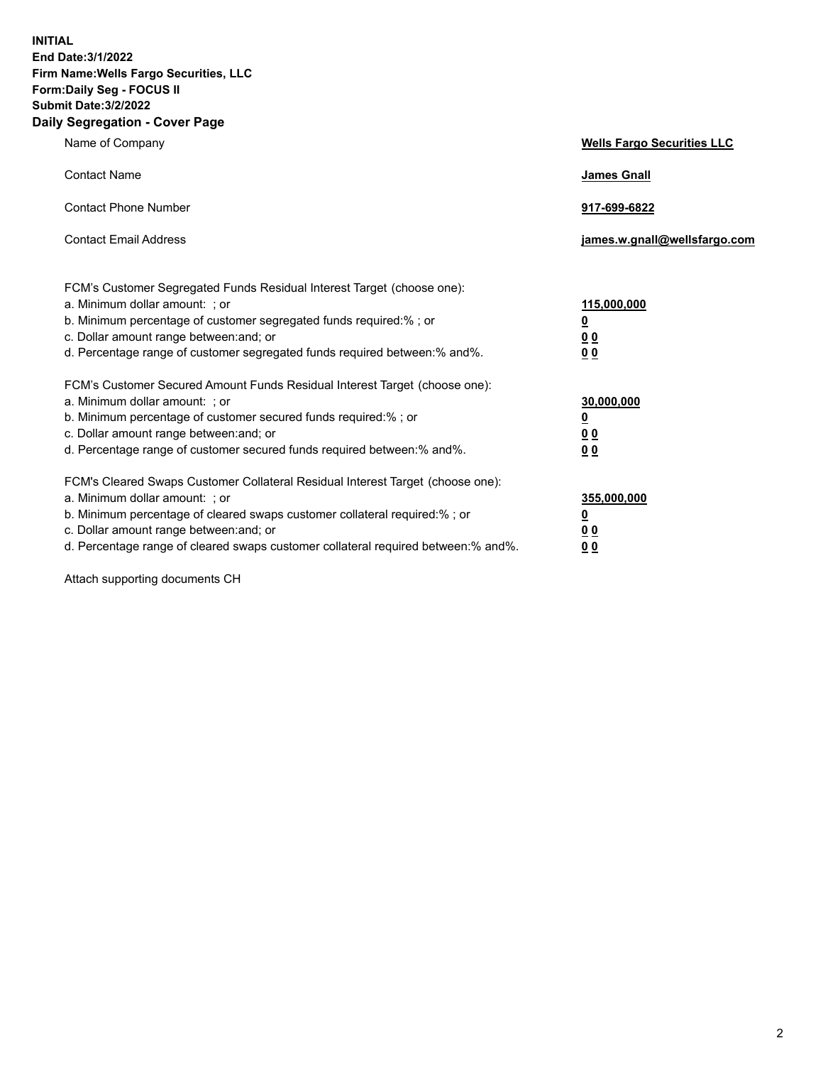**INITIAL End Date:3/1/2022 Firm Name:Wells Fargo Securities, LLC Form:Daily Seg - FOCUS II Submit Date:3/2/2022 Daily Segregation - Cover Page**

| Name of Company                                                                                                       | <b>Wells Fargo Securities LLC</b> |
|-----------------------------------------------------------------------------------------------------------------------|-----------------------------------|
| <b>Contact Name</b>                                                                                                   | <b>James Gnall</b>                |
|                                                                                                                       |                                   |
| <b>Contact Phone Number</b>                                                                                           | 917-699-6822                      |
|                                                                                                                       |                                   |
| <b>Contact Email Address</b>                                                                                          | james.w.gnall@wellsfargo.com      |
|                                                                                                                       |                                   |
| FCM's Customer Segregated Funds Residual Interest Target (choose one):                                                |                                   |
| a. Minimum dollar amount: ; or                                                                                        | 115,000,000                       |
| b. Minimum percentage of customer segregated funds required:% ; or                                                    | <u>0</u>                          |
| c. Dollar amount range between: and; or                                                                               | 00                                |
| d. Percentage range of customer segregated funds required between:% and%.                                             | 00                                |
| FCM's Customer Secured Amount Funds Residual Interest Target (choose one):                                            |                                   |
| a. Minimum dollar amount: ; or                                                                                        | 30,000,000                        |
| b. Minimum percentage of customer secured funds required:%; or                                                        | <u>0</u>                          |
| c. Dollar amount range between: and; or                                                                               | 00                                |
| d. Percentage range of customer secured funds required between: % and %.                                              | 0 <sub>0</sub>                    |
|                                                                                                                       |                                   |
| FCM's Cleared Swaps Customer Collateral Residual Interest Target (choose one):                                        |                                   |
| a. Minimum dollar amount: ; or                                                                                        | 355,000,000                       |
| b. Minimum percentage of cleared swaps customer collateral required:% ; or<br>c. Dollar amount range between: and; or | <u>0</u>                          |
| d. Percentage range of cleared swaps customer collateral required between:% and%.                                     | <u>00</u><br>00                   |
|                                                                                                                       |                                   |

Attach supporting documents CH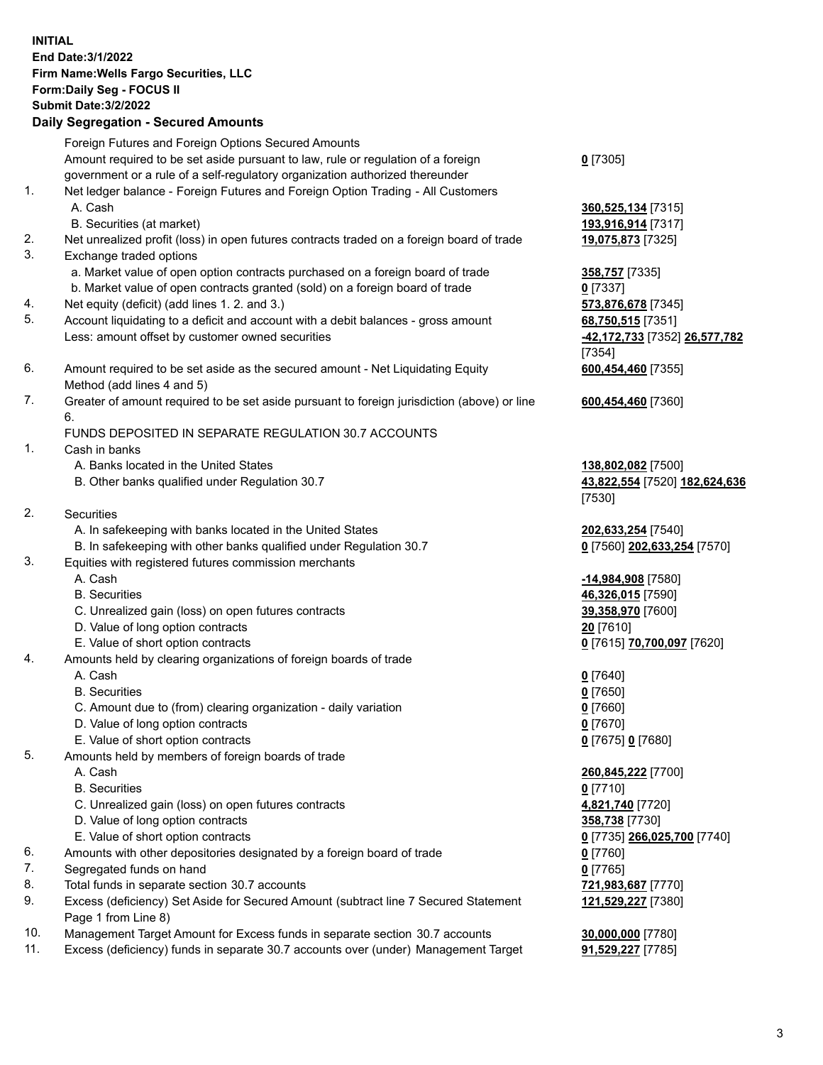**INITIAL End Date:3/1/2022 Firm Name:Wells Fargo Securities, LLC Form:Daily Seg - FOCUS II Submit Date:3/2/2022 Daily Segregation - Secured Amounts** Foreign Futures and Foreign Options Secured Amounts Amount required to be set aside pursuant to law, rule or regulation of a foreign government or a rule of a self-regulatory organization authorized thereunder **0** [7305] 1. Net ledger balance - Foreign Futures and Foreign Option Trading - All Customers A. Cash **360,525,134** [7315] B. Securities (at market) **193,916,914** [7317] 2. Net unrealized profit (loss) in open futures contracts traded on a foreign board of trade **19,075,873** [7325] 3. Exchange traded options a. Market value of open option contracts purchased on a foreign board of trade **358,757** [7335] b. Market value of open contracts granted (sold) on a foreign board of trade **0** [7337] 4. Net equity (deficit) (add lines 1. 2. and 3.) **573,876,678** [7345] 5. Account liquidating to a deficit and account with a debit balances - gross amount **68,750,515** [7351] Less: amount offset by customer owned securities **-42,172,733** [7352] **26,577,782** [7354] 6. Amount required to be set aside as the secured amount - Net Liquidating Equity Method (add lines 4 and 5) **600,454,460** [7355] 7. Greater of amount required to be set aside pursuant to foreign jurisdiction (above) or line 6. **600,454,460** [7360] FUNDS DEPOSITED IN SEPARATE REGULATION 30.7 ACCOUNTS 1. Cash in banks A. Banks located in the United States **138,802,082** [7500] B. Other banks qualified under Regulation 30.7 **43,822,554** [7520] **182,624,636** [7530] 2. Securities A. In safekeeping with banks located in the United States **202,633,254** [7540] B. In safekeeping with other banks qualified under Regulation 30.7 **0** [7560] **202,633,254** [7570] 3. Equities with registered futures commission merchants A. Cash **-14,984,908** [7580] B. Securities **46,326,015** [7590] C. Unrealized gain (loss) on open futures contracts **39,358,970** [7600] D. Value of long option contracts **20** [7610] E. Value of short option contracts **0** [7615] **70,700,097** [7620] 4. Amounts held by clearing organizations of foreign boards of trade A. Cash **0** [7640] B. Securities **0** [7650] C. Amount due to (from) clearing organization - daily variation **0** [7660] D. Value of long option contracts **0** [7670] E. Value of short option contracts **0** [7675] **0** [7680] 5. Amounts held by members of foreign boards of trade A. Cash **260,845,222** [7700] B. Securities **0** [7710] C. Unrealized gain (loss) on open futures contracts **4,821,740** [7720] D. Value of long option contracts **358,738** [7730] E. Value of short option contracts **0** [7735] **266,025,700** [7740] 6. Amounts with other depositories designated by a foreign board of trade **0** [7760] 7. Segregated funds on hand **0** [7765] 8. Total funds in separate section 30.7 accounts **721,983,687** [7770] 9. Excess (deficiency) Set Aside for Secured Amount (subtract line 7 Secured Statement Page 1 from Line 8) **121,529,227** [7380] 10. Management Target Amount for Excess funds in separate section 30.7 accounts **30,000,000** [7780] 11. Excess (deficiency) funds in separate 30.7 accounts over (under) Management Target **91,529,227** [7785]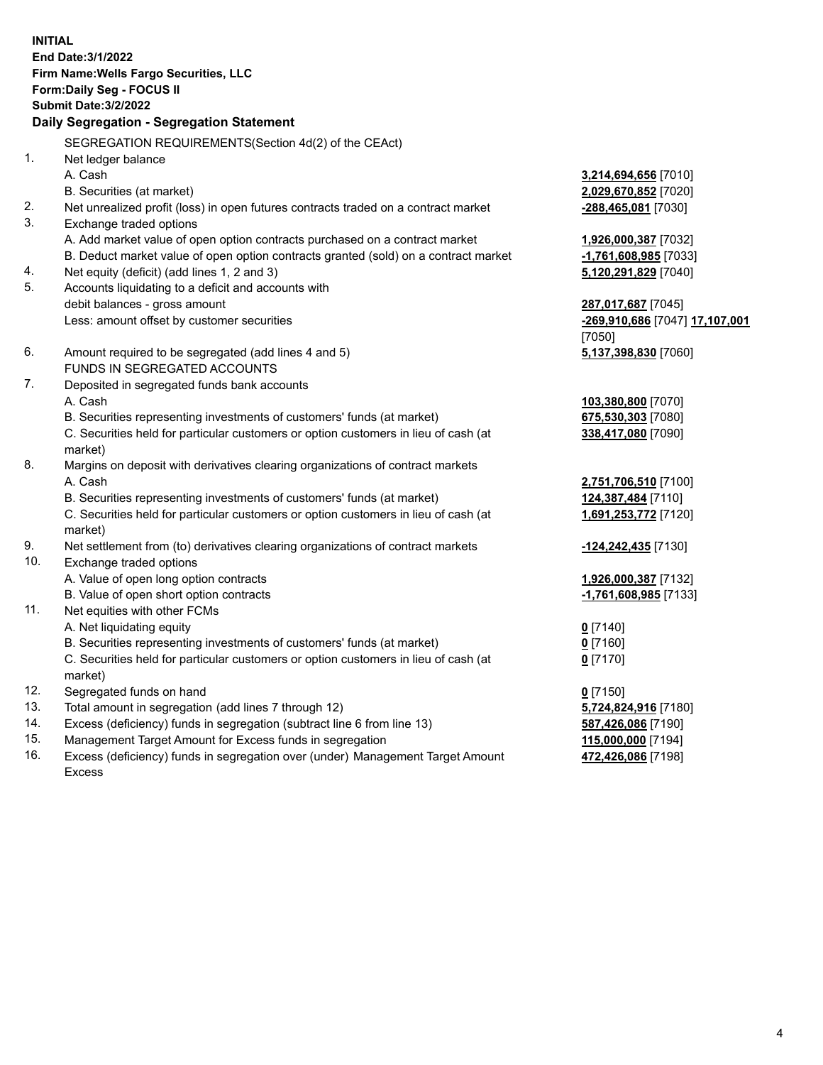**INITIAL End Date:3/1/2022 Firm Name:Wells Fargo Securities, LLC Form:Daily Seg - FOCUS II Submit Date:3/2/2022 Daily Segregation - Segregation Statement** SEGREGATION REQUIREMENTS(Section 4d(2) of the CEAct) 1. Net ledger balance A. Cash **3,214,694,656** [7010] B. Securities (at market) **2,029,670,852** [7020] 2. Net unrealized profit (loss) in open futures contracts traded on a contract market **-288,465,081** [7030] 3. Exchange traded options A. Add market value of open option contracts purchased on a contract market **1,926,000,387** [7032] B. Deduct market value of open option contracts granted (sold) on a contract market **-1,761,608,985** [7033] 4. Net equity (deficit) (add lines 1, 2 and 3) **5,120,291,829** [7040] 5. Accounts liquidating to a deficit and accounts with debit balances - gross amount **287,017,687** [7045] Less: amount offset by customer securities **-269,910,686** [7047] **17,107,001** [7050] 6. Amount required to be segregated (add lines 4 and 5) **5,137,398,830** [7060] FUNDS IN SEGREGATED ACCOUNTS 7. Deposited in segregated funds bank accounts A. Cash **103,380,800** [7070] B. Securities representing investments of customers' funds (at market) **675,530,303** [7080] C. Securities held for particular customers or option customers in lieu of cash (at market) **338,417,080** [7090] 8. Margins on deposit with derivatives clearing organizations of contract markets A. Cash **2,751,706,510** [7100] B. Securities representing investments of customers' funds (at market) **124,387,484** [7110] C. Securities held for particular customers or option customers in lieu of cash (at market) **1,691,253,772** [7120] 9. Net settlement from (to) derivatives clearing organizations of contract markets **-124,242,435** [7130] 10. Exchange traded options A. Value of open long option contracts **1,926,000,387** [7132] B. Value of open short option contracts **-1,761,608,985** [7133] 11. Net equities with other FCMs A. Net liquidating equity **0** [7140] B. Securities representing investments of customers' funds (at market) **0** [7160] C. Securities held for particular customers or option customers in lieu of cash (at market) **0** [7170] 12. Segregated funds on hand **0** [7150] 13. Total amount in segregation (add lines 7 through 12) **5,724,824,916** [7180] 14. Excess (deficiency) funds in segregation (subtract line 6 from line 13) **587,426,086** [7190] 15. Management Target Amount for Excess funds in segregation **115,000,000** [7194] **472,426,086** [7198]

16. Excess (deficiency) funds in segregation over (under) Management Target Amount Excess